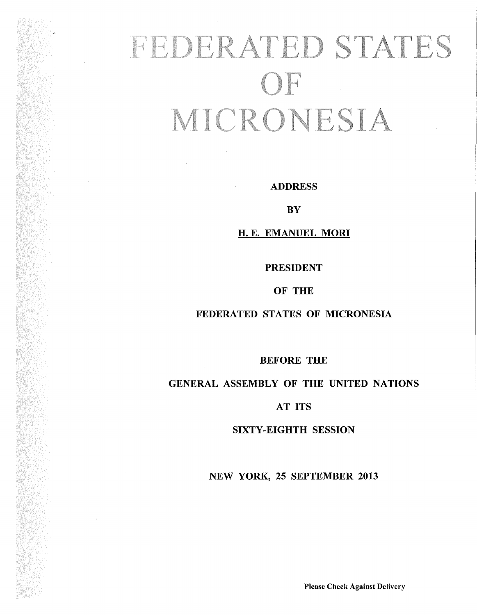# FEDERATED STATES OF MICRONESIA

ADDRESS

**BY** 

H. E. EMANUEL MORI

PRESIDENT

OF THE

FEDERATED STATES OF MICRONESIA

BEFORE THE

GENERAL ASSEMBLY OF THE UNITED NATIONS

AT ITS

SIXTY-EIGHTH SESSION

NEW YORK, 25 SEPTEMBER 2013

Please Check Against Delivery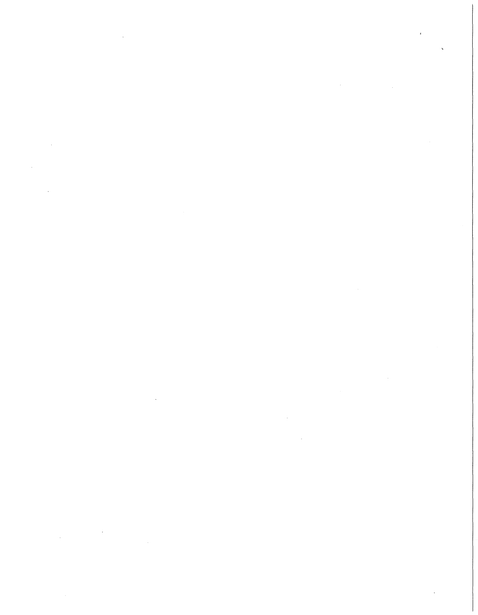$\label{eq:2.1} \mathcal{L}(\mathcal{L}^{\mathcal{L}}_{\mathcal{L}}(\mathcal{L}^{\mathcal{L}}_{\mathcal{L}})) = \mathcal{L}(\mathcal{L}^{\mathcal{L}}_{\mathcal{L}}(\mathcal{L}^{\mathcal{L}}_{\mathcal{L}})) = \mathcal{L}(\mathcal{L}^{\mathcal{L}}_{\mathcal{L}}(\mathcal{L}^{\mathcal{L}}_{\mathcal{L}}))$ 

 $\sim 400$  $\sim$ 

 $\label{eq:2.1} \frac{1}{\sqrt{2}}\left(\frac{1}{\sqrt{2}}\right)^{2} \left(\frac{1}{\sqrt{2}}\right)^{2} \left(\frac{1}{\sqrt{2}}\right)^{2} \left(\frac{1}{\sqrt{2}}\right)^{2} \left(\frac{1}{\sqrt{2}}\right)^{2} \left(\frac{1}{\sqrt{2}}\right)^{2} \left(\frac{1}{\sqrt{2}}\right)^{2} \left(\frac{1}{\sqrt{2}}\right)^{2} \left(\frac{1}{\sqrt{2}}\right)^{2} \left(\frac{1}{\sqrt{2}}\right)^{2} \left(\frac{1}{\sqrt{2}}\right)^{2} \left(\$ 

 $\label{eq:2.1} \frac{d\mathbf{y}}{d\mathbf{x}} = \frac{d\mathbf{y}}{d\mathbf{x}} \left( \frac{d\mathbf{y}}{d\mathbf{x}} + \frac{d\mathbf{y}}{d\mathbf{x}} \right)$ 

 $\label{eq:2} \begin{array}{c} \mathcal{L}_{\text{max}} \\ \mathcal{L}_{\text{max}} \end{array}$ 

 $\mathbf{v}$ 

 $\label{eq:2.1} \mathcal{L}(\mathcal{L}^{\text{max}}_{\mathcal{L}}(\mathcal{L}^{\text{max}}_{\mathcal{L}}),\mathcal{L}^{\text{max}}_{\mathcal{L}}(\mathcal{L}^{\text{max}}_{\mathcal{L}}))$ 

 $\label{eq:2.1} \frac{1}{\sqrt{2}}\sum_{i=1}^n\frac{1}{\sqrt{2}}\sum_{i=1}^n\frac{1}{\sqrt{2}}\sum_{i=1}^n\frac{1}{\sqrt{2}}\sum_{i=1}^n\frac{1}{\sqrt{2}}\sum_{i=1}^n\frac{1}{\sqrt{2}}\sum_{i=1}^n\frac{1}{\sqrt{2}}\sum_{i=1}^n\frac{1}{\sqrt{2}}\sum_{i=1}^n\frac{1}{\sqrt{2}}\sum_{i=1}^n\frac{1}{\sqrt{2}}\sum_{i=1}^n\frac{1}{\sqrt{2}}\sum_{i=1}^n\frac$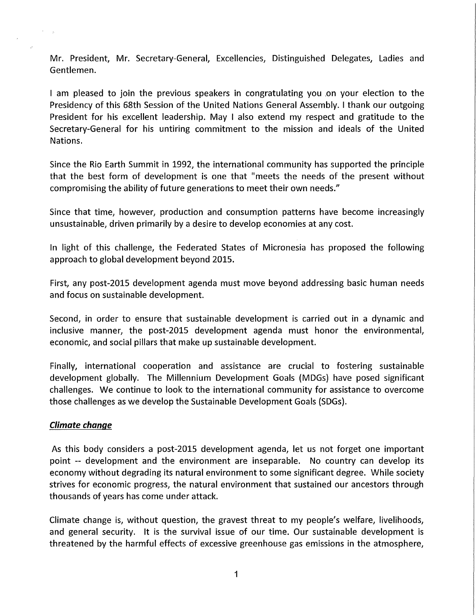Mr. President, Mr. Secretary-General, Excellencies, Distinguished Delegates, Ladies and Gentlemen.

I am pleased to join the previous speakers in congratulating you .on your election to the Presidency of this 68th Session of the United Nations General Assembly. I thank our outgoing President for his excellent leadership. May I also extend my respect and gratitude to the Secretary-General for his untiring commitment to the mission and ideals of the United Nations.

Since the Rio Earth Summit in 1992, the international community has supported the principle that the best form of development is one that "meets the needs of the present without compromising the ability of future generations to meet their own needs."

Since that time, however, production and consumption patterns have become increasingly unsustainable, driven primarily by a desire to develop economies at any cost.

In light of this challenge, the Federated States of Micronesia has proposed the following approach to global development beyond 2015.

First, any post-2015 development agenda must move beyond addressing basic human needs and focus on sustainable development.

Second, in order to ensure that sustainable development is carried out in a dynamic and inclusive manner, the post-2015 development agenda must honor the environmental, economic, and social pillars that make up sustainable development.

Finally, international cooperation and assistance are crucial to fostering sustainable development globally. The Millennium Development Goals (MDGs) have posed significant challenges. We continue to look to the international community for assistance to overcome those challenges as we develop the Sustainable Development Goals (SDGs).

## *Climate change*

As this body considers a post-2015 development agenda, let us not forget one important point -- development and the environment are inseparable. No country can develop its economy without degrading its natural environment to some significant degree. While society strives for economic progress, the natural environment that sustained our ancestors through thousands of years has come under attack.

Climate change is, without question, the gravest threat to my people's welfare, livelihoods, and general security. It is the survival issue of our time. Our sustainable development is threatened by the harmful effects of excessive greenhouse gas emissions in the atmosphere,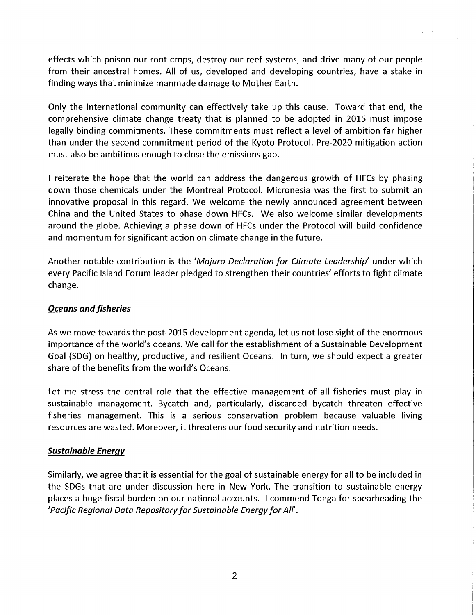effects which poison our root crops, destroy our reef systems, and drive many of our people from their ancestral homes. All of us, developed and developing countries, have a stake in finding ways that minimize manmade damage to Mother Earth.

Only the international community can effectively take up this cause. Toward that end, the comprehensive climate change treaty that is planned to be adopted in 201S must impose legally binding commitments. These commitments must reflect a level of ambition far higher than under the second commitment period of the Kyoto Protocol. Pre-2020 mitigation action must also be ambitious enough to close the emissions gap.

I reiterate the hope that the world can address the dangerous growth of HFCs by phasing down those chemicals under the Montreal Protocol. Micronesia was the first to submit an innovative proposal in this regard. We welcome the newly announced agreement between China and the United States to phase down HFCs. We also welcome similar developments around the globe. Achieving a phase down of HFCs under the Protocol will build confidence and momentum for significant action on climate change in the future.

Another notable contribution is the 'Majuro Declaration for Climate Leadership' under which every Pacific Island Forum leader pledged to strengthen their countries' efforts to fight climate change.

#### Oceans and fisheries

As we move towards the post-201S development agenda, let us not lose sight of the enormous importance of the world's oceans. We call for the establishment of a Sustainable Development Goal (SDG) on healthy, productive, and resilient Oceans. In turn, we should expect a greater share of the benefits from the world's Oceans.

Let me stress the central role that the effective management of all fisheries must play in sustainable management. Bycatch and, particularly, discarded bycatch threaten effective fisheries management. This is a serious conservation problem because valuable living resources are wasted. Moreover, it threatens our food security and nutrition needs.

#### Sustainable Energy

Similarly, we agree that it is essential for the goal of sustainable energy for all to be included in the SDGs that are under discussion here in New York. The transition to sustainable energy places a huge fiscal burden on our national accounts. I commend Tonga for spearheading the 'Pacific Regional Data Repository for Sustainable Energy for All'.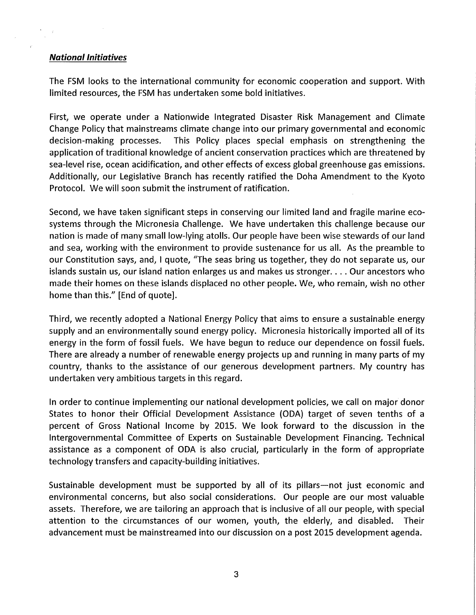#### *National Initiatives*

The FSM looks to the international community for economic cooperation and support. With limited resources, the FSM has undertaken some bold initiatives.

First, we operate under a Nationwide Integrated Disaster Risk Management and Climate Change Policy that mainstreams climate change into our primary governmental and economic decision-making processes. This Policy places special emphasis on strengthening the application of traditional knowledge of ancient conservation practices which are threatened by sea-level rise, ocean acidification, and other effects of excess global greenhouse gas emissions. Additionally, our Legislative Branch has recently ratified the Doha Amendment to the Kyoto Protocol. We will soon submit the instrument of ratification.

Second, we have taken significant steps in conserving our limited land and fragile marine ecosystems through the Micronesia Challenge. We have undertaken this challenge because our nation is made of many small low-lying atolls. Our people have been wise stewards of our land and sea, working with the environment to provide sustenance for us all. As the preamble to our Constitution says, and, I quote, "The seas bring us together, they do not separate us, our islands sustain us, our island nation enlarges us and makes us stronger.... Our ancestors who made their homes on these islands displaced no other people. We, who remain, wish no other home than this." [End of quote].

Third, we recently adopted a National Energy Policy that aims to ensure a sustainable energy supply and an environmentally sound energy policy. Micronesia historically imported all of its energy in the form of fossil fuels. We have begun to reduce our dependence on fossil fuels. There are already a number of renewable energy projects up and running in many parts of my country, thanks to the assistance of our generous development partners. My country has undertaken very ambitious targets in this regard.

In order to continue implementing our national development policies, we call on major donor States to honor their Official Development Assistance (ODA) target of seven tenths of a percent of Gross National Income by 2015. We look forward to the discussion in the Intergovernmental Committee of Experts on Sustainable Development Financing. Technical assistance as a component of ODA is also crucial, particularly in the form of appropriate technology transfers and capacity-building initiatives.

Sustainable development must be supported by all of its pillars—not just economic and environmental concerns, but also social considerations. Our people are our most valuable assets. Therefore, we are tailoring an approach that is inclusive of all our people, with special attention to the circumstances of our women, youth, the elderly, and disabled. Their advancement must be mainstreamed into our discussion on a post 2015 development agenda.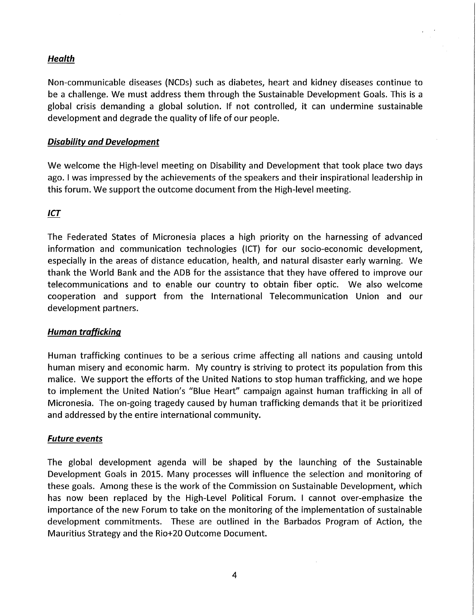## **Health**

Non-communicable diseases (NCDs) such as diabetes, heart and kidney diseases continue to be a challenge. We must address them through the Sustainable Development Goals. This is a global crisis demanding a global solution. If not controlled, it can undermine sustainable development and degrade the quality of life of our people.

## **Disability and Development**

We welcome the High-level meeting on Disability and Development that took place two days ago. I was impressed by the achievements of the speakers and their inspirational leadership in this forum. We support the outcome document from the High-level meeting.

## *ict*

The Federated States of Micronesia places a high priority on the harnessing of advanced information and communication technologies (ICT) for our socio-economic development, especially in the areas of distance education, health, and natural disaster early warning. We thank the World Bank and the ADB for the assistance that they have offered to improve our telecommunications and to enable our country to obtain fiber optic. We also welcome cooperation and support from the International Telecommunication Union and our development partners.

## **Human trafficking**

Human trafficking continues to be a serious crime affecting all nations and causing untold human misery and economic harm. My country is striving to protect its population from this malice. We support the efforts of the United Nations to stop human trafficking, and we hope to implement the United Nation's "Blue Heart" campaign against human trafficking in all of Micronesia. The on-going tragedy caused by human trafficking demands that it be prioritized and addressed by the entire international community.

## **Future events**

The global development agenda will be shaped by the launching of the Sustainable Development Goals in 2015. Many processes will influence the selection and monitoring of these goals. Among these is the work of the Commission on Sustainable Development, which has now been replaced by the High-Level Political Forum. I cannot over-emphasize the importance of the new Forum to take on the monitoring of the implementation of sustainable development commitments. These are outlined in the Barbados Program of Action, the Mauritius Strategy and the Rio+20 Outcome Document.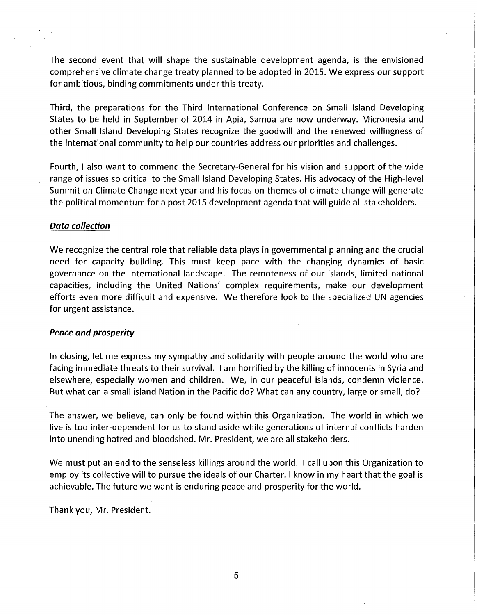The second event that will shape the sustainable development agenda, is the envisioned comprehensive climate change treaty planned to be adopted in 2015. We express our support for ambitious, binding commitments under this treaty.

Third, the preparations for the Third International Conference on Small Island Developing States to be held in September of 2014 in Apia, Samoa are now underway. Micronesia and other Small Island Developing States recognize the goodwill and the renewed willingness of the international community to help our countries address our priorities and challenges.

Fourth, I also want to commend the Secretary-General for his vision and support of the wide range of issues so critical to the Small Island Developing States. His advocacy of the High-level Summit on Climate Change next year and his focus on themes of climate change will generate the political momentum for a post 2015 development agenda that will guide all stakeholders.

#### Data collection

We recognize the central role that reliable data plays in governmental planning and the crucial need for capacity building. This must keep pace with the changing dynamics of basic governance on the international landscape. The remoteness of our islands, limited national capacities, including the United Nations' complex requirements, make our development efforts even more difficult and expensive. We therefore look to the specialized UN agencies for urgent assistance.

#### Peace and prosperity

In closing, let me express my sympathy and solidarity with people around the world who are facing immediate threats to their survival. I am horrified by the killing of innocents in Syria and elsewhere, especially women and children. We, in our peaceful islands, condemn violence. But what can a small island Nation in the Pacific do? What can any country, large or small, do?

The answer, we believe, can only be found within this Organization. The world in which we live is too inter-dependent for us to stand aside while generations of internal conflicts harden into unending hatred and bloodshed. Mr. President, we are all stakeholders.

We must put an end to the senseless killings around the world. I call upon this Organization to employ its collective will to pursue the ideals of our Charter. I know in my heart that the goal is achievable. The future we want is enduring peace and prosperity for the world.

Thank you, Mr. President.